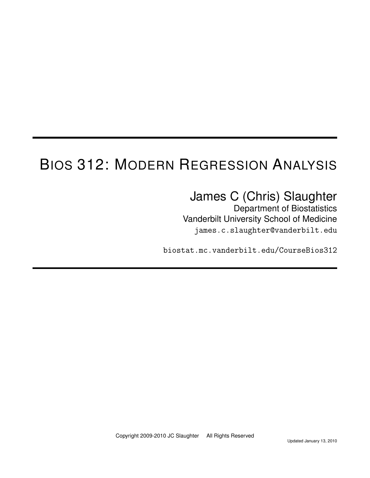# BIOS 312: MODERN REGRESSION ANALYSIS

## James C (Chris) Slaughter

Department of Biostatistics Vanderbilt University School of Medicine james.c.slaughter@vanderbilt.edu

biostat.mc.vanderbilt.edu/CourseBios312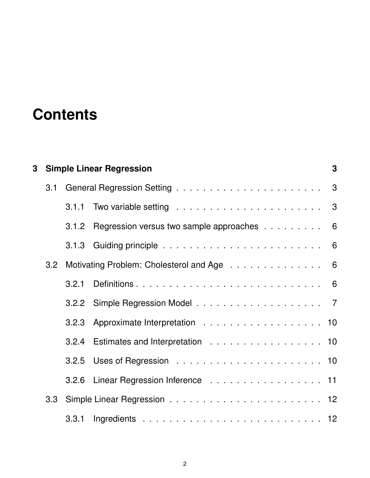# **Contents**

| 3 |     | <b>Simple Linear Regression</b>               |                                                 |  |  |  |  |  |  |
|---|-----|-----------------------------------------------|-------------------------------------------------|--|--|--|--|--|--|
|   |     |                                               |                                                 |  |  |  |  |  |  |
|   |     |                                               |                                                 |  |  |  |  |  |  |
|   |     |                                               | 3.1.2 Regression versus two sample approaches 6 |  |  |  |  |  |  |
|   |     |                                               |                                                 |  |  |  |  |  |  |
|   |     | 3.2 Motivating Problem: Cholesterol and Age 6 |                                                 |  |  |  |  |  |  |
|   |     | 3.2.1                                         |                                                 |  |  |  |  |  |  |
|   |     |                                               |                                                 |  |  |  |  |  |  |
|   |     |                                               |                                                 |  |  |  |  |  |  |
|   |     |                                               | 3.2.4 Estimates and Interpretation 10           |  |  |  |  |  |  |
|   |     |                                               |                                                 |  |  |  |  |  |  |
|   |     |                                               | 3.2.6 Linear Regression Inference 11            |  |  |  |  |  |  |
|   | 3.3 |                                               |                                                 |  |  |  |  |  |  |
|   |     |                                               |                                                 |  |  |  |  |  |  |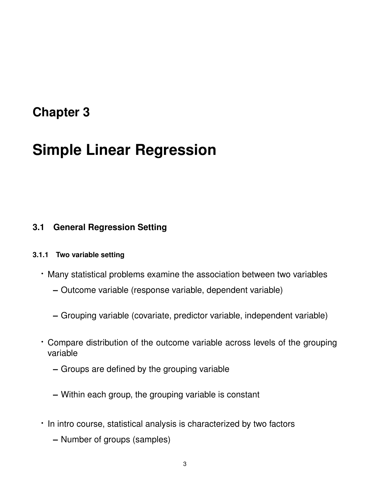## **Chapter 3**

## **Simple Linear Regression**

### **3.1 General Regression Setting**

#### **3.1.1 Two variable setting**

- · Many statistical problems examine the association between two variables
	- **–** Outcome variable (response variable, dependent variable)
	- **–** Grouping variable (covariate, predictor variable, independent variable)
- · Compare distribution of the outcome variable across levels of the grouping variable
	- **–** Groups are defined by the grouping variable
	- **–** Within each group, the grouping variable is constant
- · In intro course, statistical analysis is characterized by two factors
	- **–** Number of groups (samples)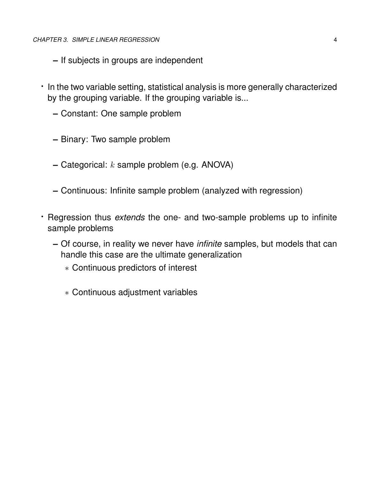- **–** If subjects in groups are independent
- · In the two variable setting, statistical analysis is more generally characterized by the grouping variable. If the grouping variable is...
	- **–** Constant: One sample problem
	- **–** Binary: Two sample problem
	- **–** Categorical: k sample problem (e.g. ANOVA)
	- **–** Continuous: Infinite sample problem (analyzed with regression)
- · Regression thus *extends* the one- and two-sample problems up to infinite sample problems
	- **–** Of course, in reality we never have *infinite* samples, but models that can handle this case are the ultimate generalization
		- ∗ Continuous predictors of interest
		- ∗ Continuous adjustment variables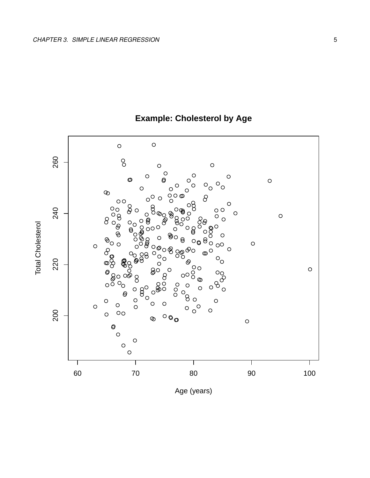

## **Example: Cholesterol by Age**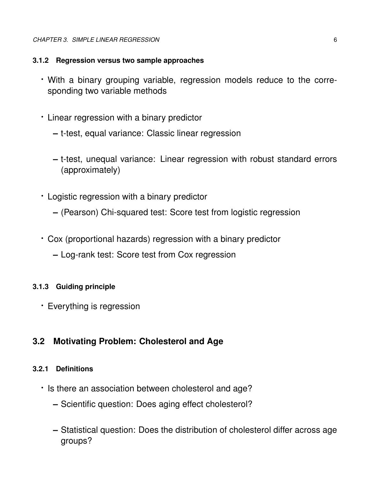#### *CHAPTER 3. SIMPLE LINEAR REGRESSION* 6

#### **3.1.2 Regression versus two sample approaches**

- · With a binary grouping variable, regression models reduce to the corresponding two variable methods
- · Linear regression with a binary predictor
	- **–** t-test, equal variance: Classic linear regression
	- **–** t-test, unequal variance: Linear regression with robust standard errors (approximately)
- · Logistic regression with a binary predictor
	- **–** (Pearson) Chi-squared test: Score test from logistic regression
- · Cox (proportional hazards) regression with a binary predictor
	- **–** Log-rank test: Score test from Cox regression

#### **3.1.3 Guiding principle**

· Everything is regression

### **3.2 Motivating Problem: Cholesterol and Age**

#### **3.2.1 Definitions**

- · Is there an association between cholesterol and age?
	- **–** Scientific question: Does aging effect cholesterol?
	- **–** Statistical question: Does the distribution of cholesterol differ across age groups?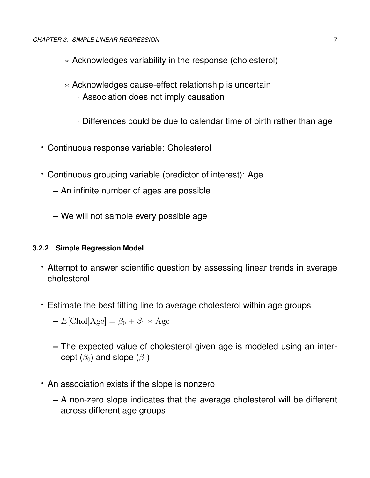- ∗ Acknowledges variability in the response (cholesterol)
- ∗ Acknowledges cause-effect relationship is uncertain
	- · Association does not imply causation
	- · Differences could be due to calendar time of birth rather than age
- · Continuous response variable: Cholesterol
- · Continuous grouping variable (predictor of interest): Age
	- **–** An infinite number of ages are possible
	- **–** We will not sample every possible age

#### **3.2.2 Simple Regression Model**

- · Attempt to answer scientific question by assessing linear trends in average cholesterol
- · Estimate the best fitting line to average cholesterol within age groups
	- $-E[\text{Chol}] \text{Age}] = \beta_0 + \beta_1 \times \text{Age}$
	- **–** The expected value of cholesterol given age is modeled using an intercept  $(\beta_0)$  and slope  $(\beta_1)$
- · An association exists if the slope is nonzero
	- **–** A non-zero slope indicates that the average cholesterol will be different across different age groups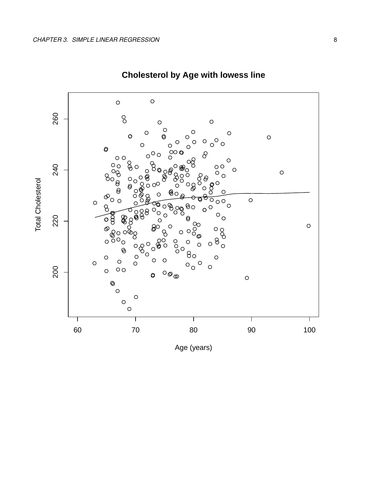

## **Cholesterol by Age with lowess line**

Age (years)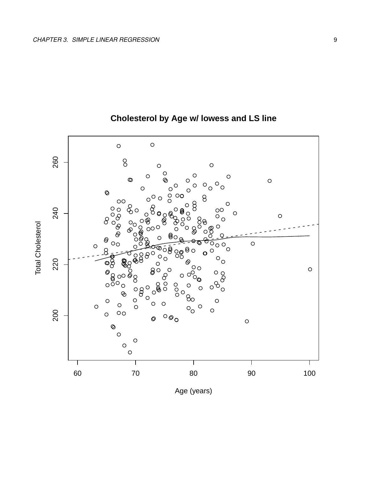

## Cholesterol by Age w/ lowess and LS line

Age (years)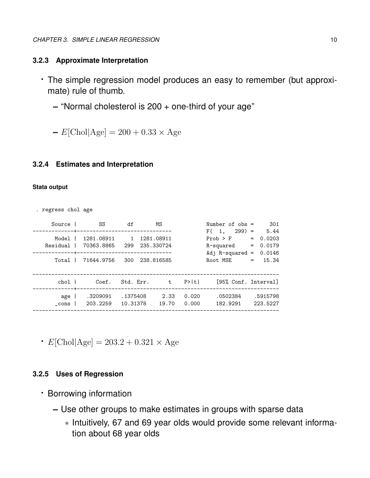#### **3.2.3 Approximate Interpretation**

- · The simple regression model produces an easy to remember (but approximate) rule of thumb.
	- **–** "Normal cholesterol is 200 + one-third of your age"

 $-E[Chol]Age] = 200 + 0.33 \times Age$ 

#### **3.2.4 Estimates and Interpretation**

#### **Stata output**

. regress chol age

| Source 1            | SS                                                   | df                   | ΜS                                     |                | Number of $obs =$                                                        | 301                                                           |
|---------------------|------------------------------------------------------|----------------------|----------------------------------------|----------------|--------------------------------------------------------------------------|---------------------------------------------------------------|
| Model  <br>Residual | 1281.08911 1<br>70363.8865 299<br>Total   71644.9756 | 300                  | 1281.08911<br>235.330724<br>238.816585 |                | $F(1, 299) =$<br>Prob > F<br>R-squared<br>Adj $R$ -squared =<br>Root MSE | 5.44<br>0.0203<br>$=$<br>0.0179<br>$=$<br>0.0146<br>$= 15.34$ |
| chol I              | Coef.                                                | Std. Err. t          |                                        | P>  t          | [95% Conf. Interval]                                                     |                                                               |
| age  <br>cons       | .3209091<br>203.2259                                 | .1375408<br>10.31378 | 2.33<br>19.70                          | 0.020<br>0.000 | .0502384<br>182.9291                                                     | .5915798<br>223.5227                                          |

 $\cdot$  E[Chol|Age] = 203.2 + 0.321  $\times$  Age

#### **3.2.5 Uses of Regression**

- · Borrowing information
	- **–** Use other groups to make estimates in groups with sparse data
		- ∗ Intuitively, 67 and 69 year olds would provide some relevant information about 68 year olds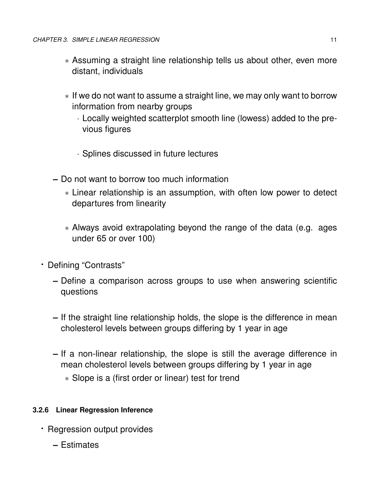- ∗ Assuming a straight line relationship tells us about other, even more distant, individuals
- ∗ If we do not want to assume a straight line, we may only want to borrow information from nearby groups
	- · Locally weighted scatterplot smooth line (lowess) added to the previous figures
	- · Splines discussed in future lectures
- **–** Do not want to borrow too much information
	- ∗ Linear relationship is an assumption, with often low power to detect departures from linearity
	- ∗ Always avoid extrapolating beyond the range of the data (e.g. ages under 65 or over 100)
- · Defining "Contrasts"
	- **–** Define a comparison across groups to use when answering scientific questions
	- **–** If the straight line relationship holds, the slope is the difference in mean cholesterol levels between groups differing by 1 year in age
	- **–** If a non-linear relationship, the slope is still the average difference in mean cholesterol levels between groups differing by 1 year in age
		- ∗ Slope is a (first order or linear) test for trend

#### **3.2.6 Linear Regression Inference**

- · Regression output provides
	- **–** Estimates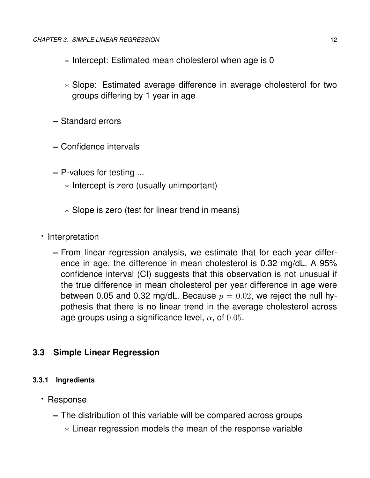- ∗ Intercept: Estimated mean cholesterol when age is 0
- ∗ Slope: Estimated average difference in average cholesterol for two groups differing by 1 year in age
- **–** Standard errors
- **–** Confidence intervals
- **–** P-values for testing ...
	- ∗ Intercept is zero (usually unimportant)
	- ∗ Slope is zero (test for linear trend in means)
- · Interpretation
	- **–** From linear regression analysis, we estimate that for each year difference in age, the difference in mean cholesterol is 0.32 mg/dL. A 95% confidence interval (CI) suggests that this observation is not unusual if the true difference in mean cholesterol per year difference in age were between 0.05 and 0.32 mg/dL. Because  $p = 0.02$ , we reject the null hypothesis that there is no linear trend in the average cholesterol across age groups using a significance level,  $\alpha$ , of 0.05.

### **3.3 Simple Linear Regression**

#### **3.3.1 Ingredients**

- · Response
	- **–** The distribution of this variable will be compared across groups
		- ∗ Linear regression models the mean of the response variable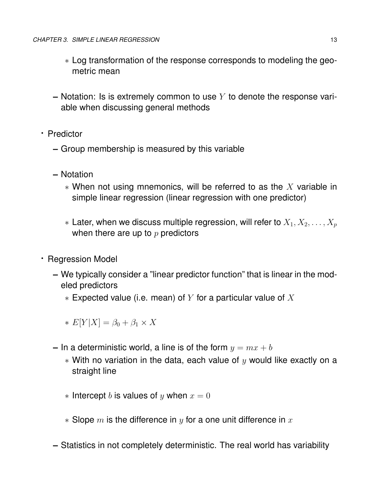- ∗ Log transformation of the response corresponds to modeling the geometric mean
- **–** Notation: Is is extremely common to use Y to denote the response variable when discussing general methods
- · Predictor
	- **–** Group membership is measured by this variable
	- **–** Notation
		- $*$  When not using mnemonics, will be referred to as the X variable in simple linear regression (linear regression with one predictor)
		- $*$  Later, when we discuss multiple regression, will refer to  $X_1, X_2, \ldots, X_n$ when there are up to  $p$  predictors
- · Regression Model
	- **–** We typically consider a "linear predictor function" that is linear in the modeled predictors
		- $*$  Expected value (i.e. mean) of Y for a particular value of X

 $\ast$  E[Y|X] =  $\beta_0 + \beta_1 \times X$ 

- **–** In a deterministic world, a line is of the form  $y = mx + b$ 
	- $*$  With no variation in the data, each value of y would like exactly on a straight line
	- ∗ Intercept *b* is values of *y* when  $x = 0$
	- $*$  Slope m is the difference in y for a one unit difference in x
- **–** Statistics in not completely deterministic. The real world has variability